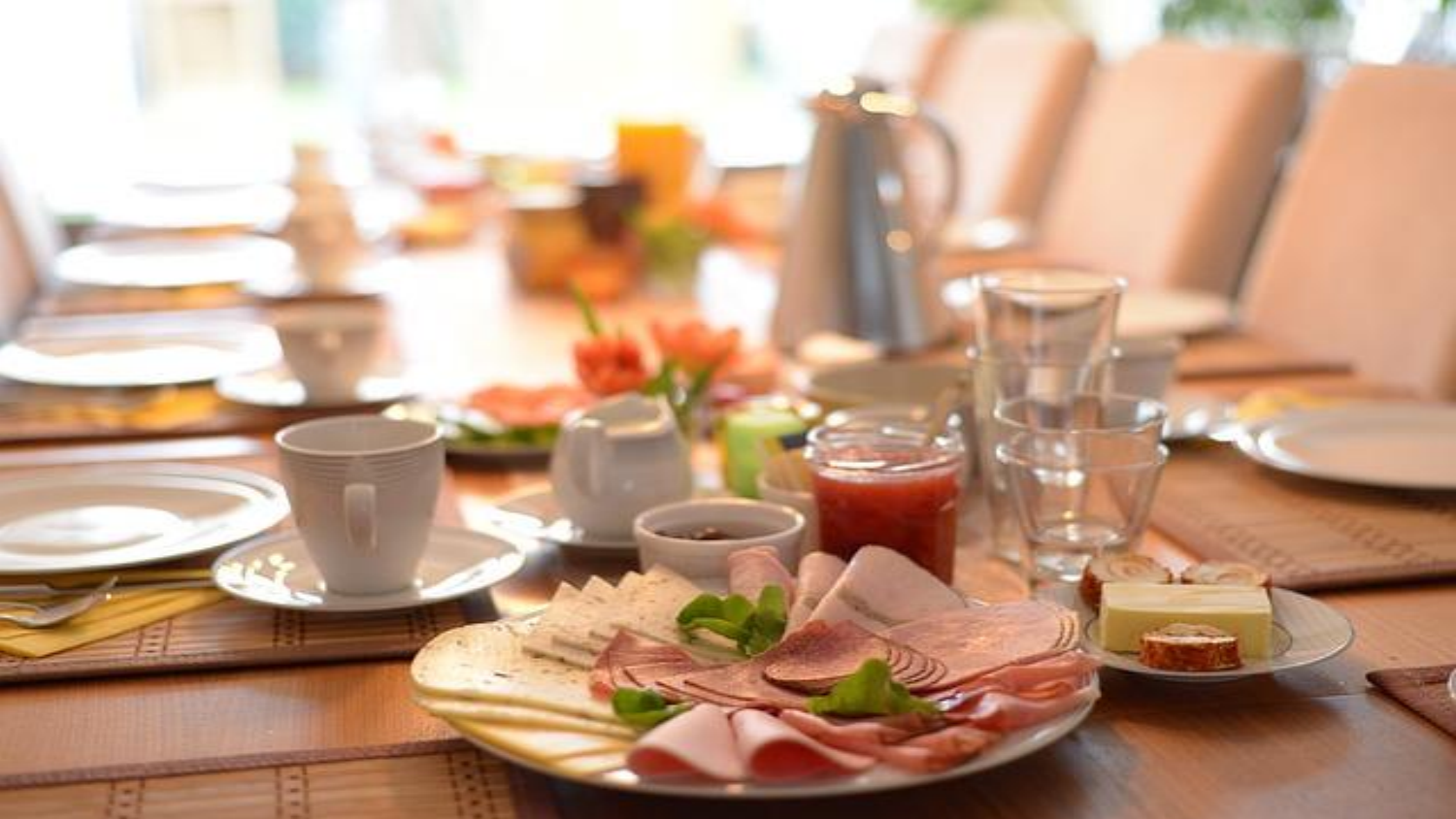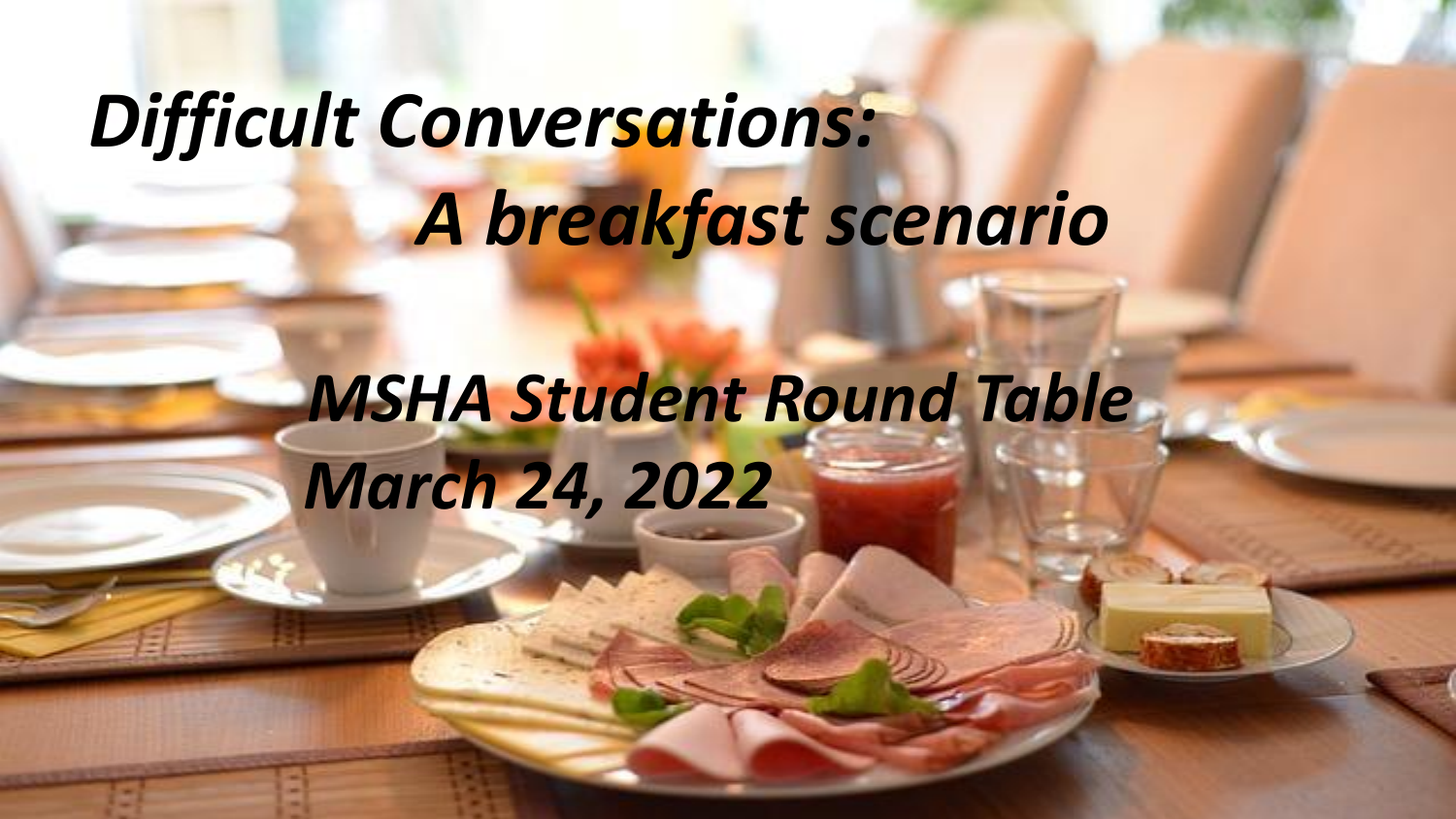# *Difficult Conversations: A breakfast scenario*

# *MSHA Student Round Table March 24, 2022*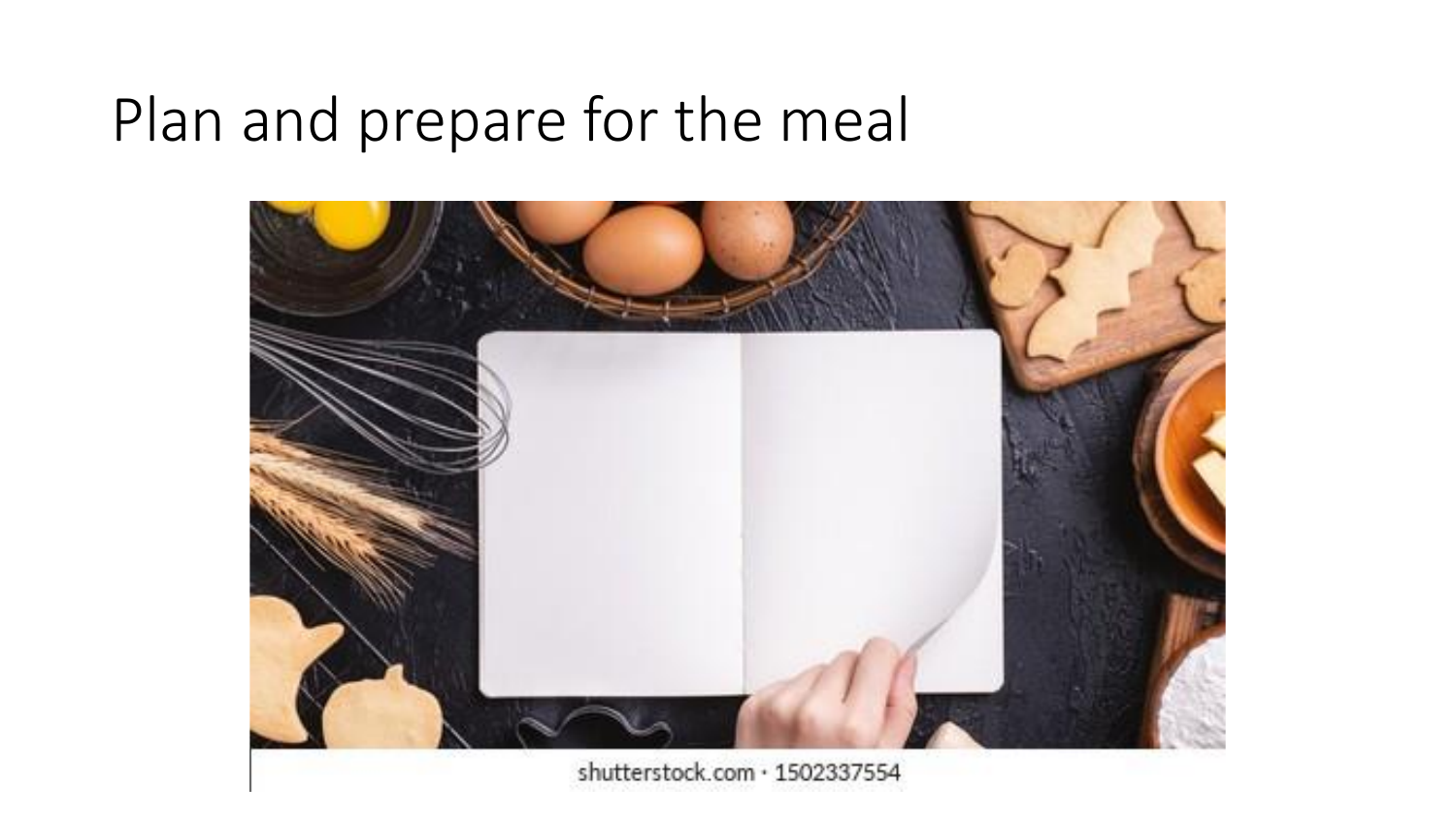### Plan and prepare for the meal

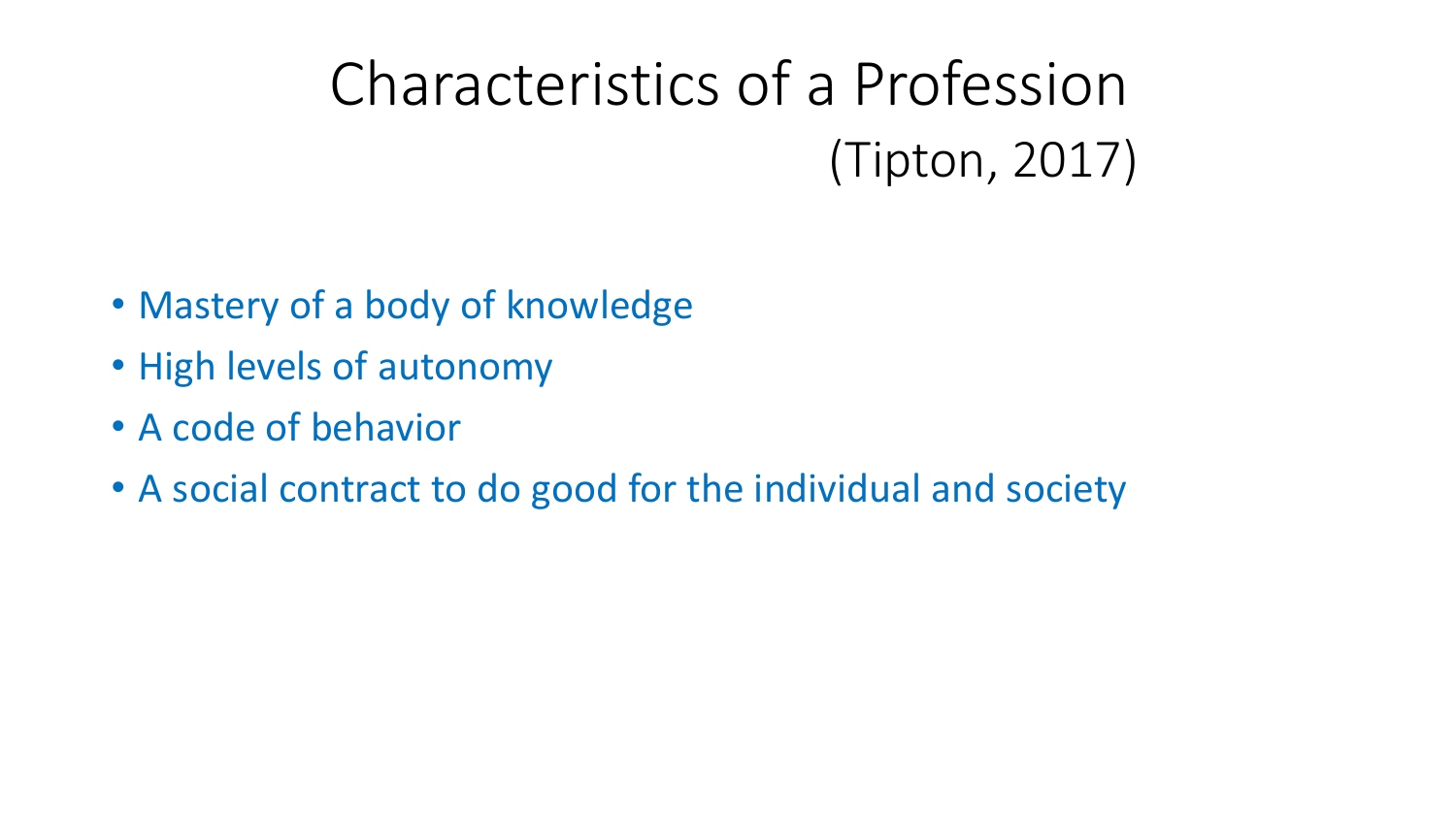# Characteristics of a Profession (Tipton, 2017)

- Mastery of a body of knowledge
- High levels of autonomy
- A code of behavior
- A social contract to do good for the individual and society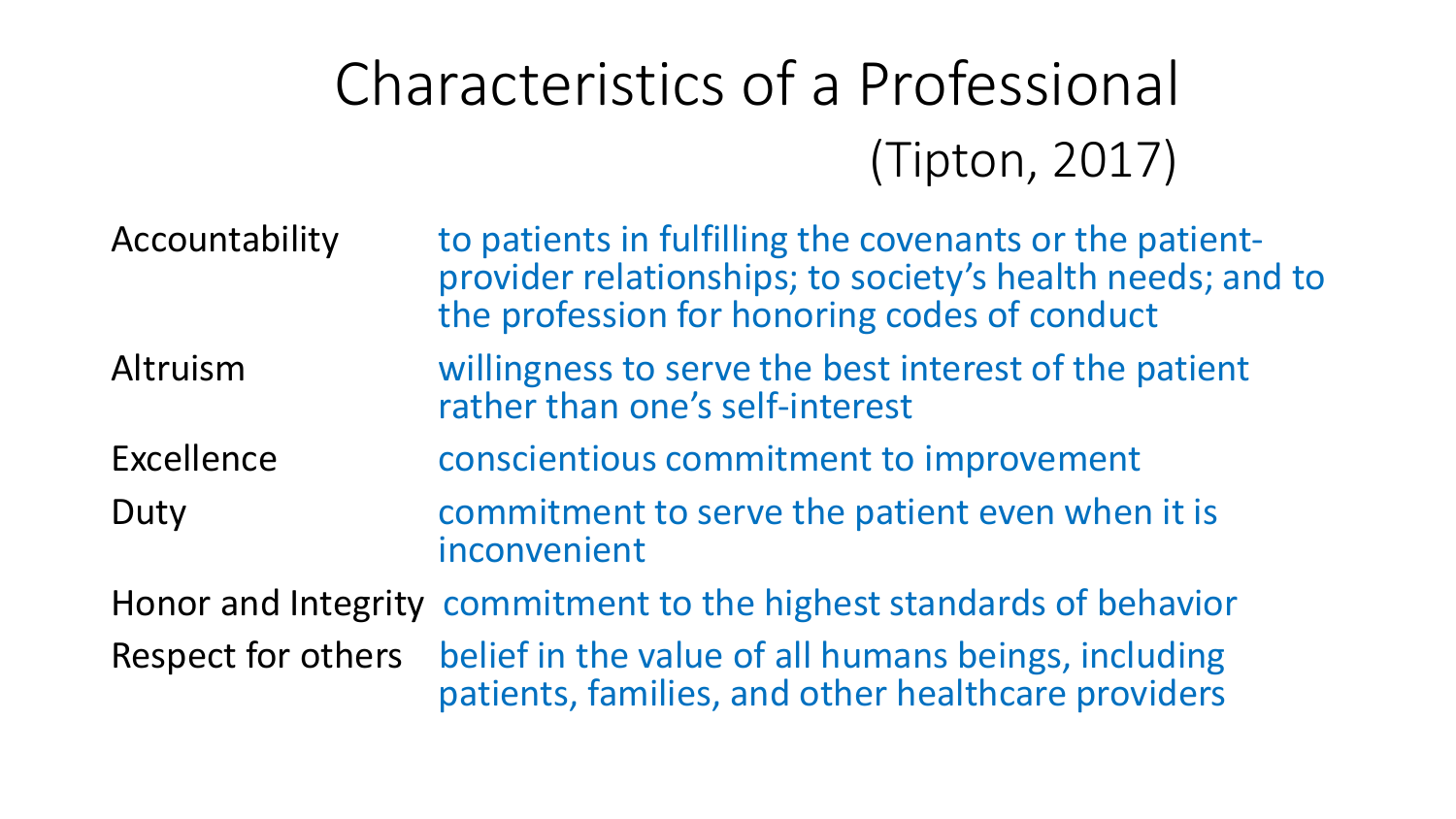# Characteristics of a Professional (Tipton, 2017)

Accountability to patients in fulfilling the covenants or the patientprovider relationships; to society's health needs; and to the profession for honoring codes of conduct Altruism willingness to serve the best interest of the patient rather than one's self-interest Excellence conscientious commitment to improvement Duty **EXACTE COMMITMENT TO SERVE THE PATE OF THE UP TO THE EXACT** COMMITMENT COMMITMENT COMMITMENT COMMITMENT COM inconvenient

Honor and Integrity commitment to the highest standards of behavior

Respect for others belief in the value of all humans beings, including patients, families, and other healthcare providers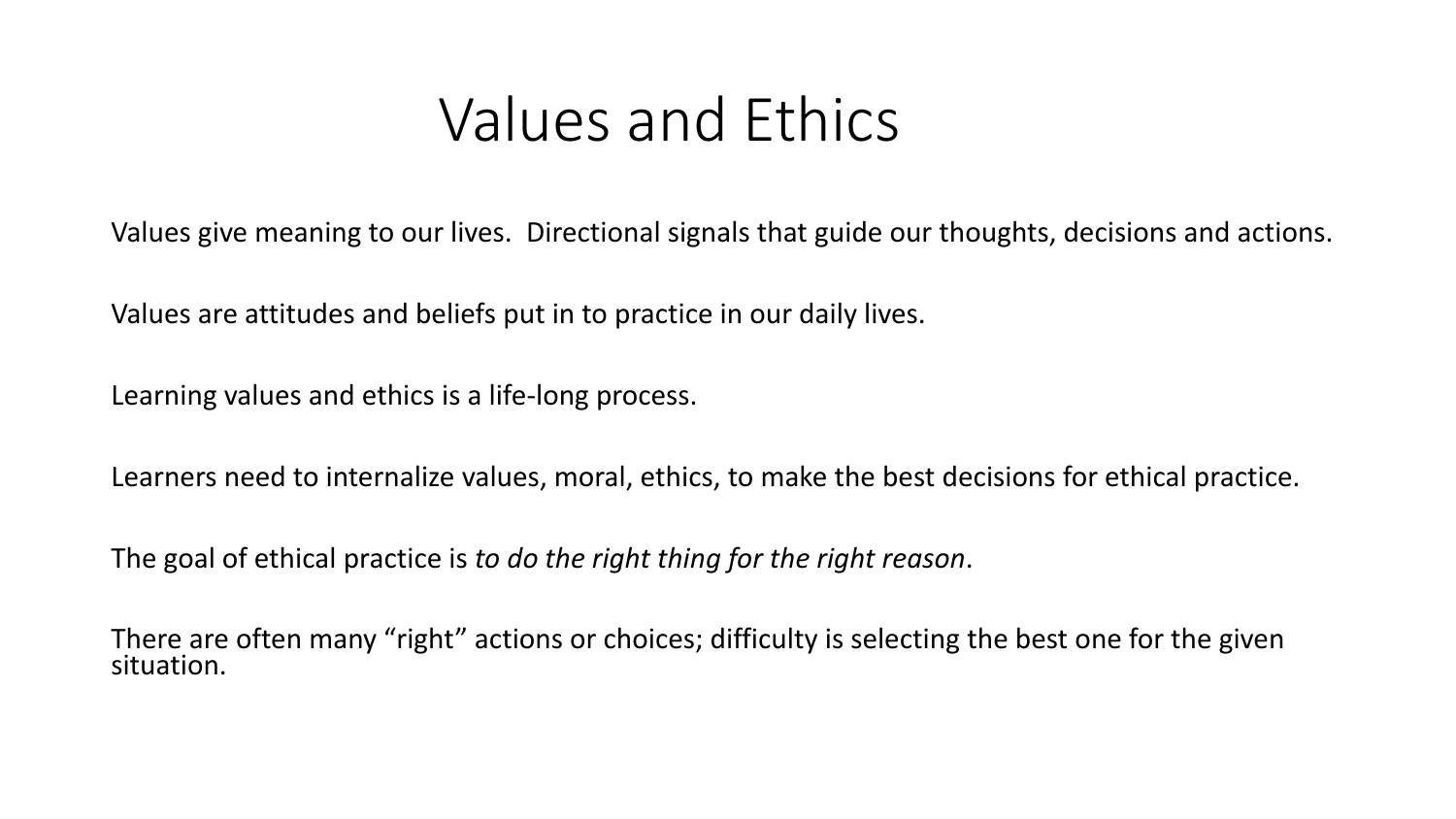### Values and Ethics

Values give meaning to our lives. Directional signals that guide our thoughts, decisions and actions.

Values are attitudes and beliefs put in to practice in our daily lives.

Learning values and ethics is a life-long process.

Learners need to internalize values, moral, ethics, to make the best decisions for ethical practice.

The goal of ethical practice is *to do the right thing for the right reason*.

There are often many "right" actions or choices; difficulty is selecting the best one for the given situation.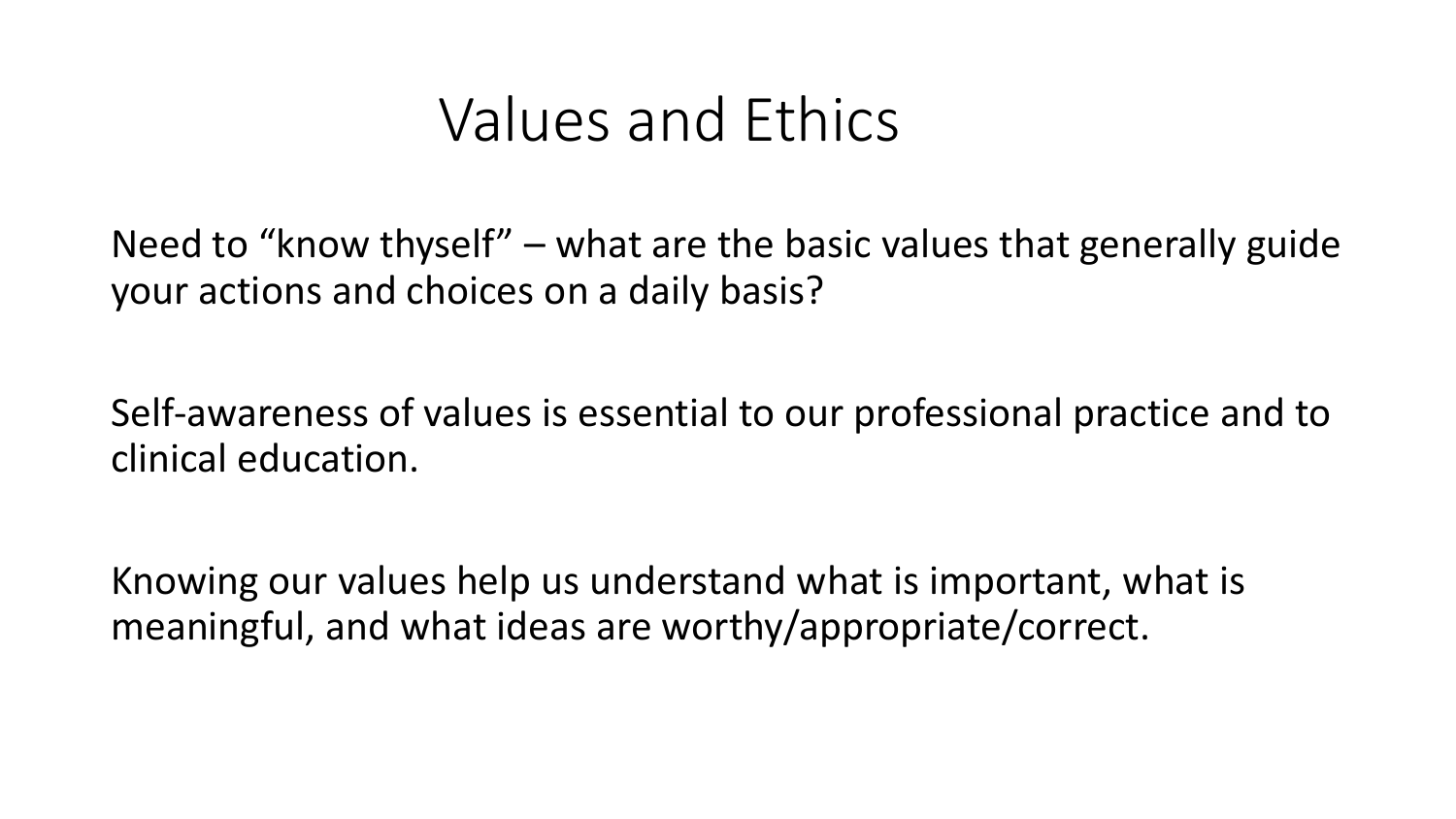#### Values and Ethics

Need to "know thyself" – what are the basic values that generally guide your actions and choices on a daily basis?

Self-awareness of values is essential to our professional practice and to clinical education.

Knowing our values help us understand what is important, what is meaningful, and what ideas are worthy/appropriate/correct.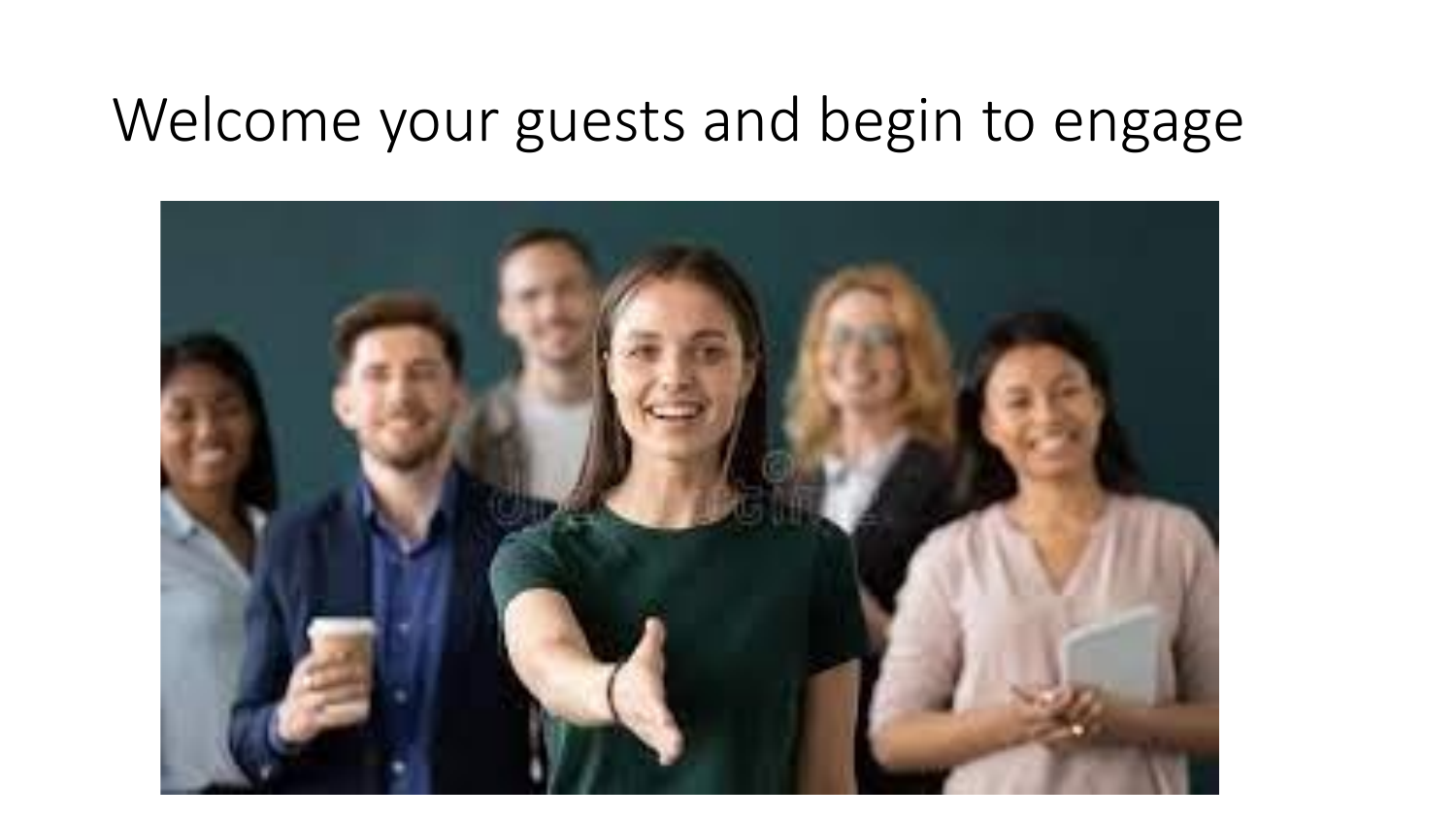### Welcome your guests and begin to engage

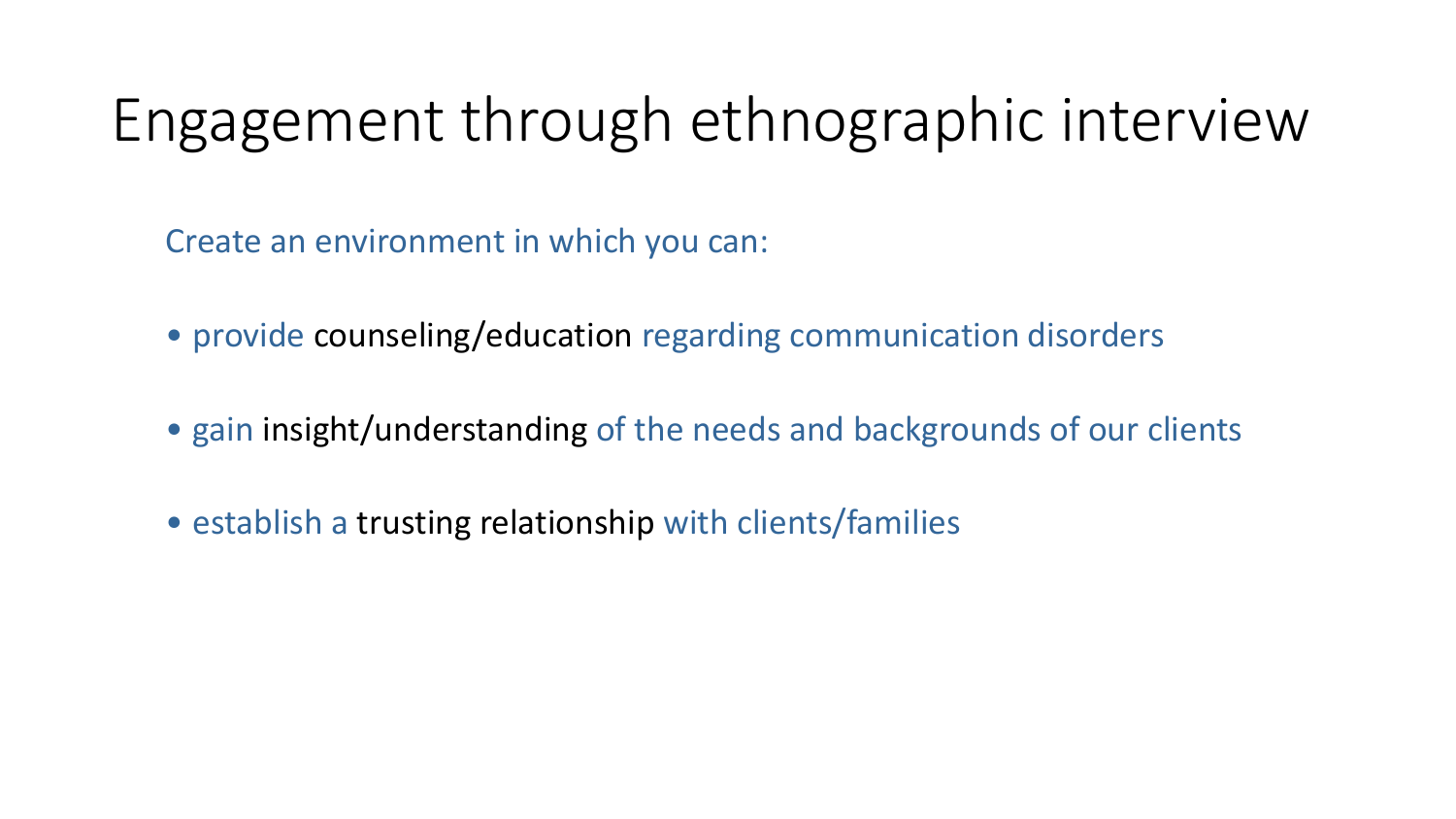## Engagement through ethnographic interview

Create an environment in which you can:

- provide counseling/education regarding communication disorders
- gain insight/understanding of the needs and backgrounds of our clients
- establish a trusting relationship with clients/families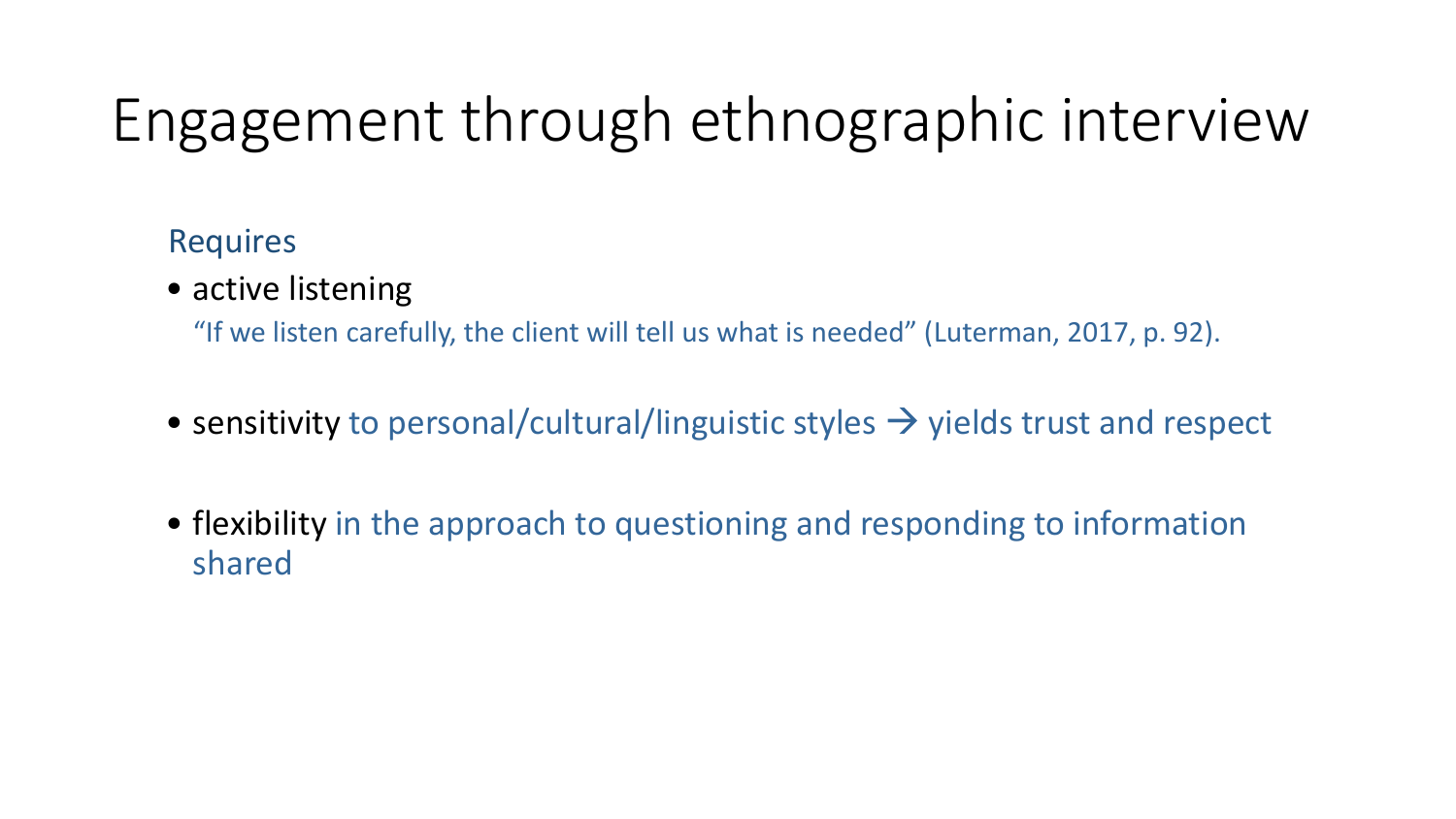# Engagement through ethnographic interview

#### Requires

• active listening

"If we listen carefully, the client will tell us what is needed" (Luterman, 2017, p. 92).

- sensitivity to personal/cultural/linguistic styles  $\rightarrow$  yields trust and respect
- flexibility in the approach to questioning and responding to information shared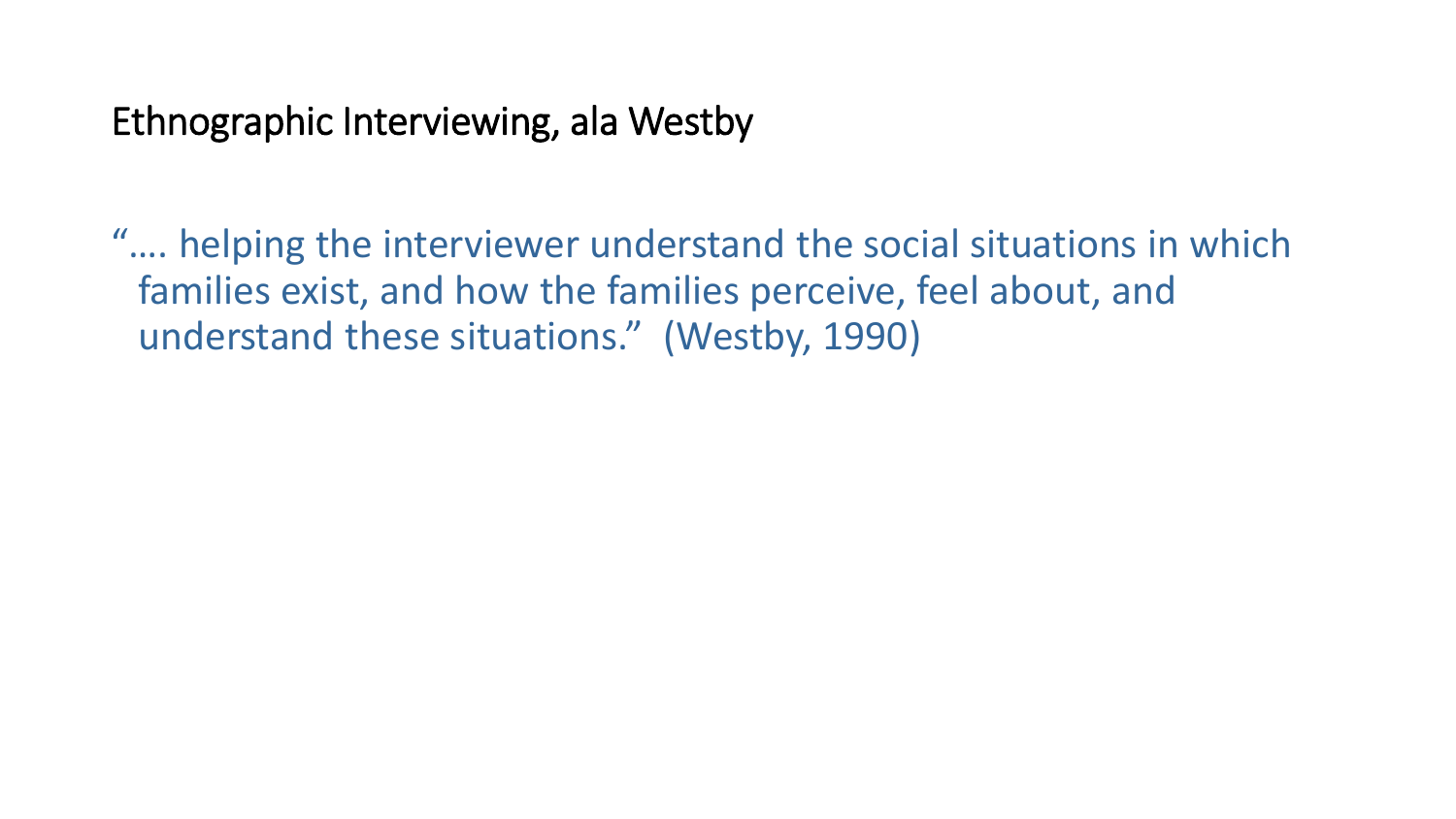Ethnographic Interviewing, ala Westby

"…. helping the interviewer understand the social situations in which families exist, and how the families perceive, feel about, and understand these situations." (Westby, 1990)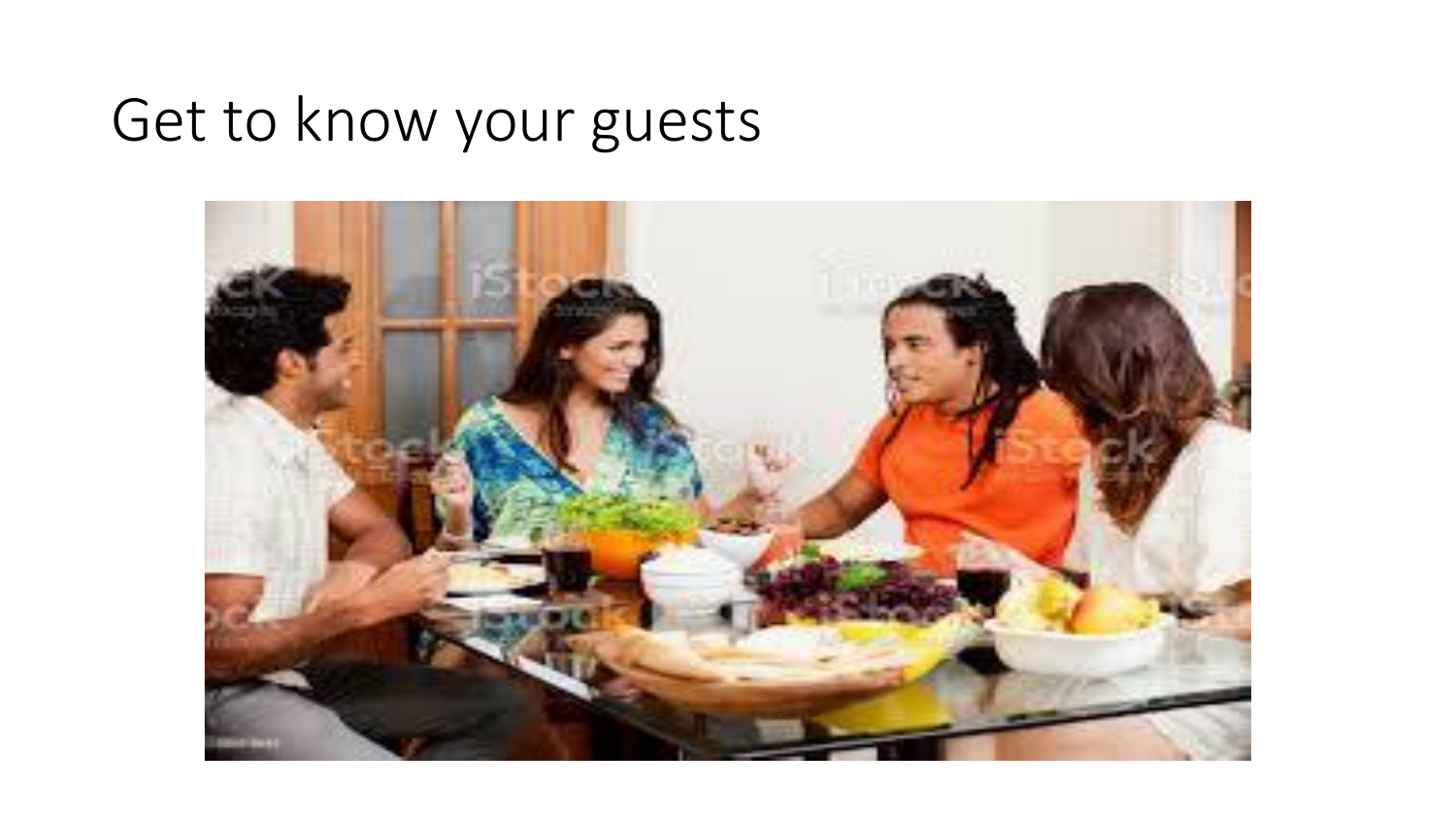### Get to know your guests

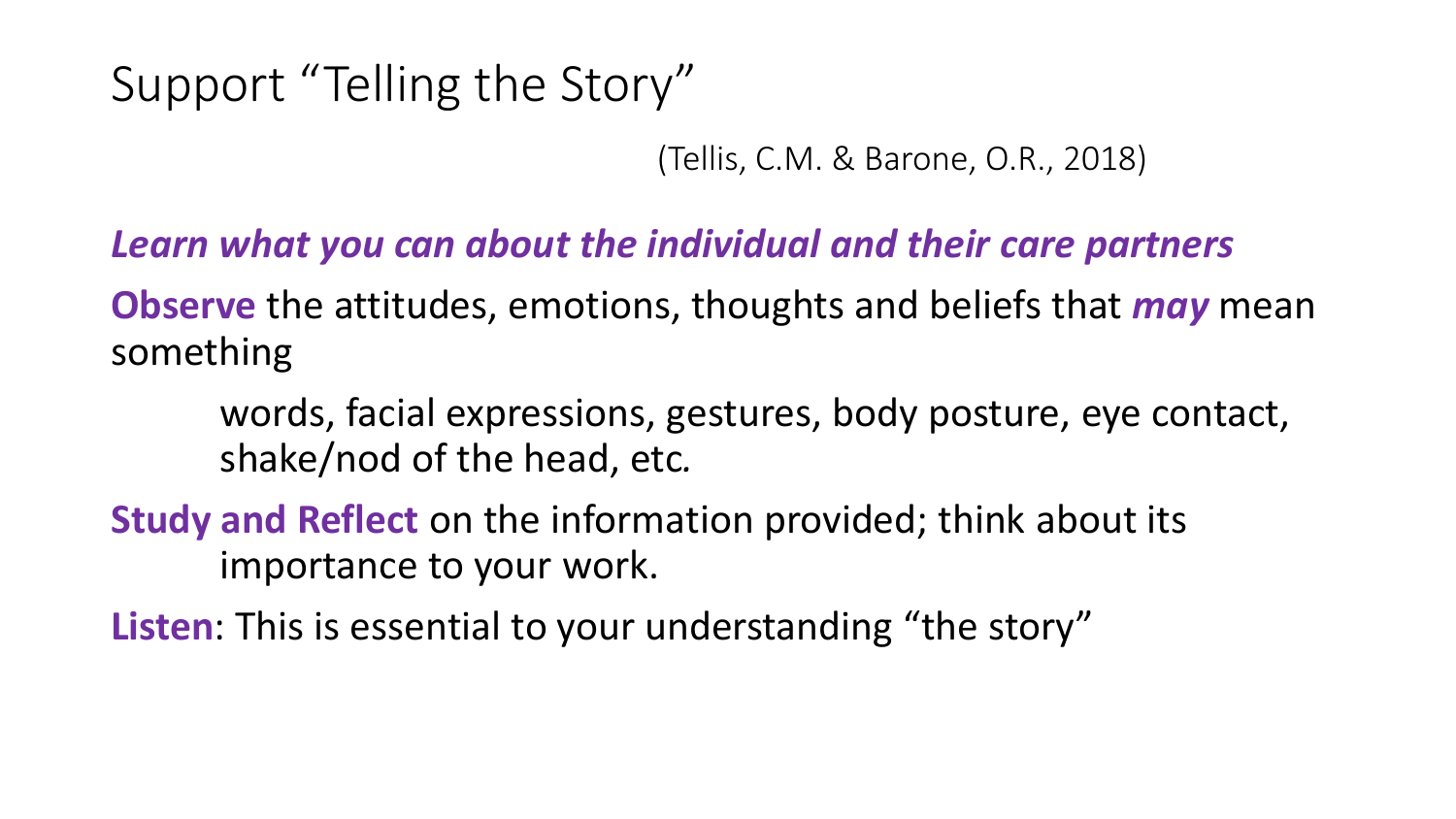#### Support "Telling the Story"

(Tellis, C.M. & Barone, O.R., 2018)

#### *Learn what you can about the individual and their care partners*

**Observe** the attitudes, emotions, thoughts and beliefs that *may* mean something

words, facial expressions, gestures, body posture, eye contact, shake/nod of the head, etc*.*

#### **Study and Reflect** on the information provided; think about its importance to your work.

**Listen**: This is essential to your understanding "the story"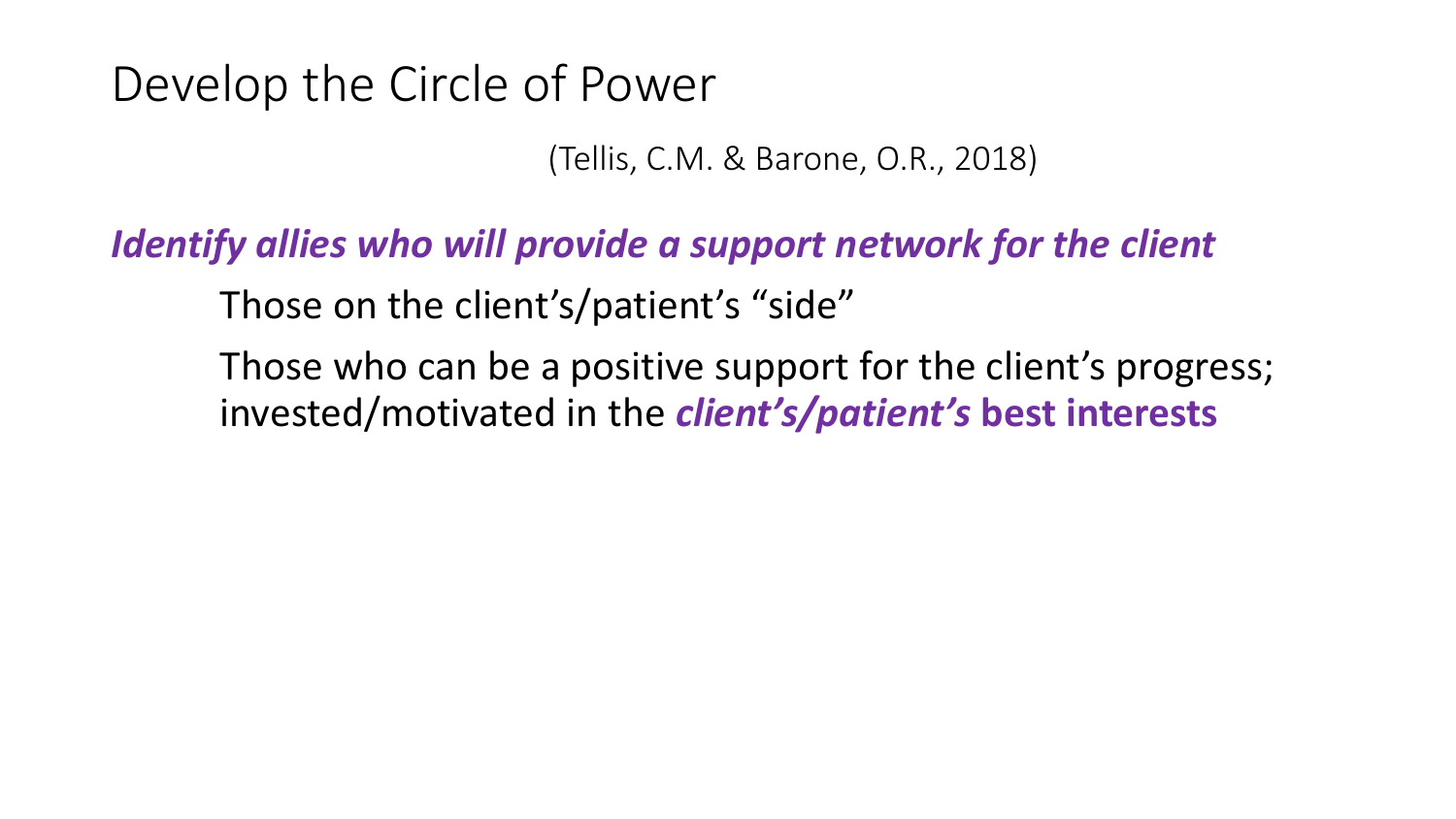Develop the Circle of Power

(Tellis, C.M. & Barone, O.R., 2018)

*Identify allies who will provide a support network for the client*

Those on the client's/patient's "side"

Those who can be a positive support for the client's progress; invested/motivated in the *client's/patient's* **best interests**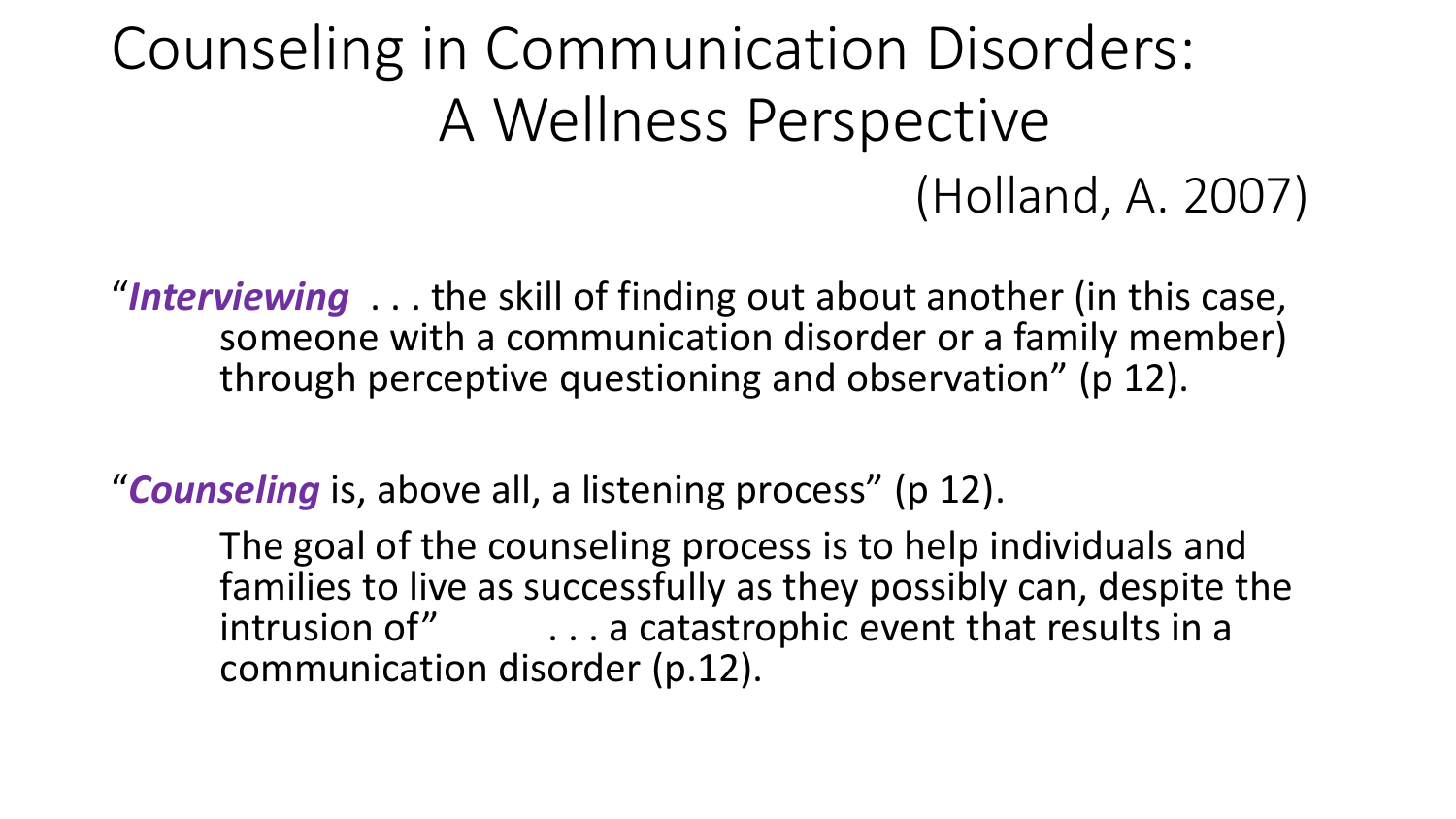# Counseling in Communication Disorders: A Wellness Perspective (Holland, A. 2007)

"*Interviewing* . . . the skill of finding out about another (in this case, someone with a communication disorder or a family member) through perceptive questioning and observation" (p 12).

"*Counseling* is, above all, a listening process" (p 12).

The goal of the counseling process is to help individuals and families to live as successfully as they possibly can, despite the intrusion of" . . . a catastrophic event that results in a communication disorder (p.12).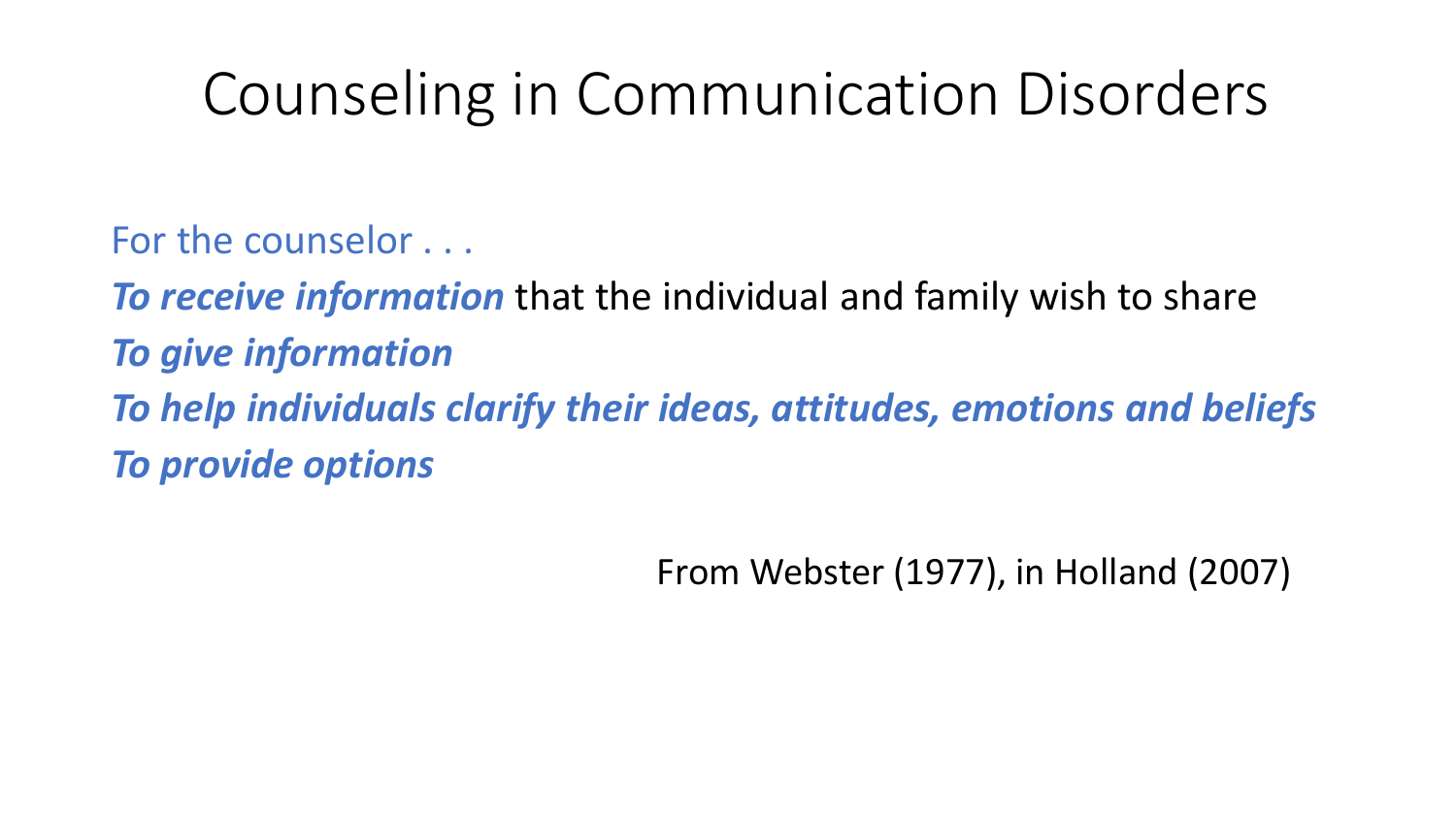## Counseling in Communication Disorders

For the counselor ...

*To receive information* that the individual and family wish to share *To give information To help individuals clarify their ideas, attitudes, emotions and beliefs To provide options* 

From Webster (1977), in Holland (2007)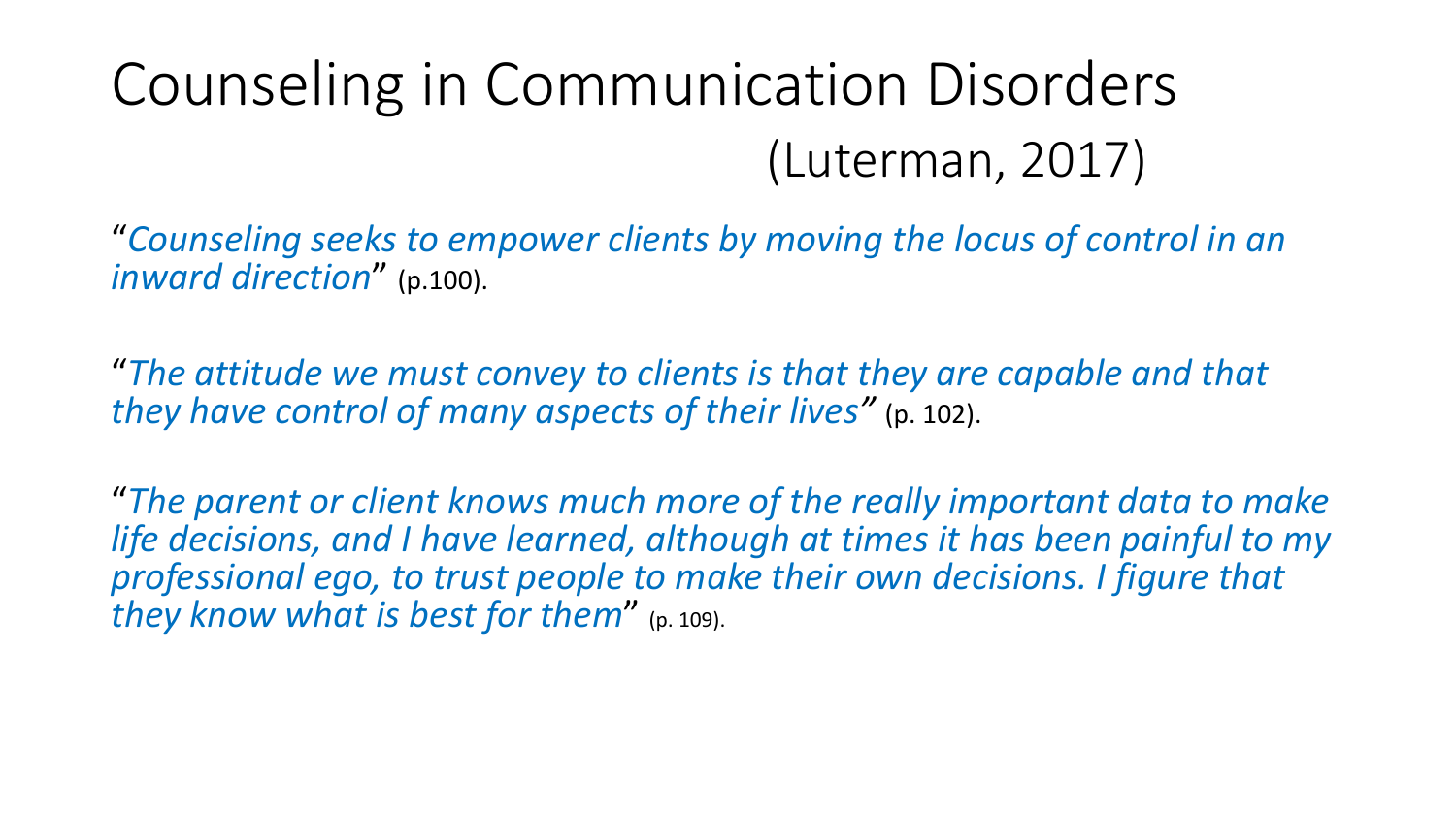# Counseling in Communication Disorders (Luterman, 2017)

"*Counseling seeks to empower clients by moving the locus of control in an inward direction*" (p.100).

"*The attitude we must convey to clients is that they are capable and that they have control of many aspects of their lives"* (p. 102).

"*The parent or client knows much more of the really important data to make life decisions, and I have learned, although at times it has been painful to my professional ego, to trust people to make their own decisions. I figure that they know what is best for them*" (p. 109).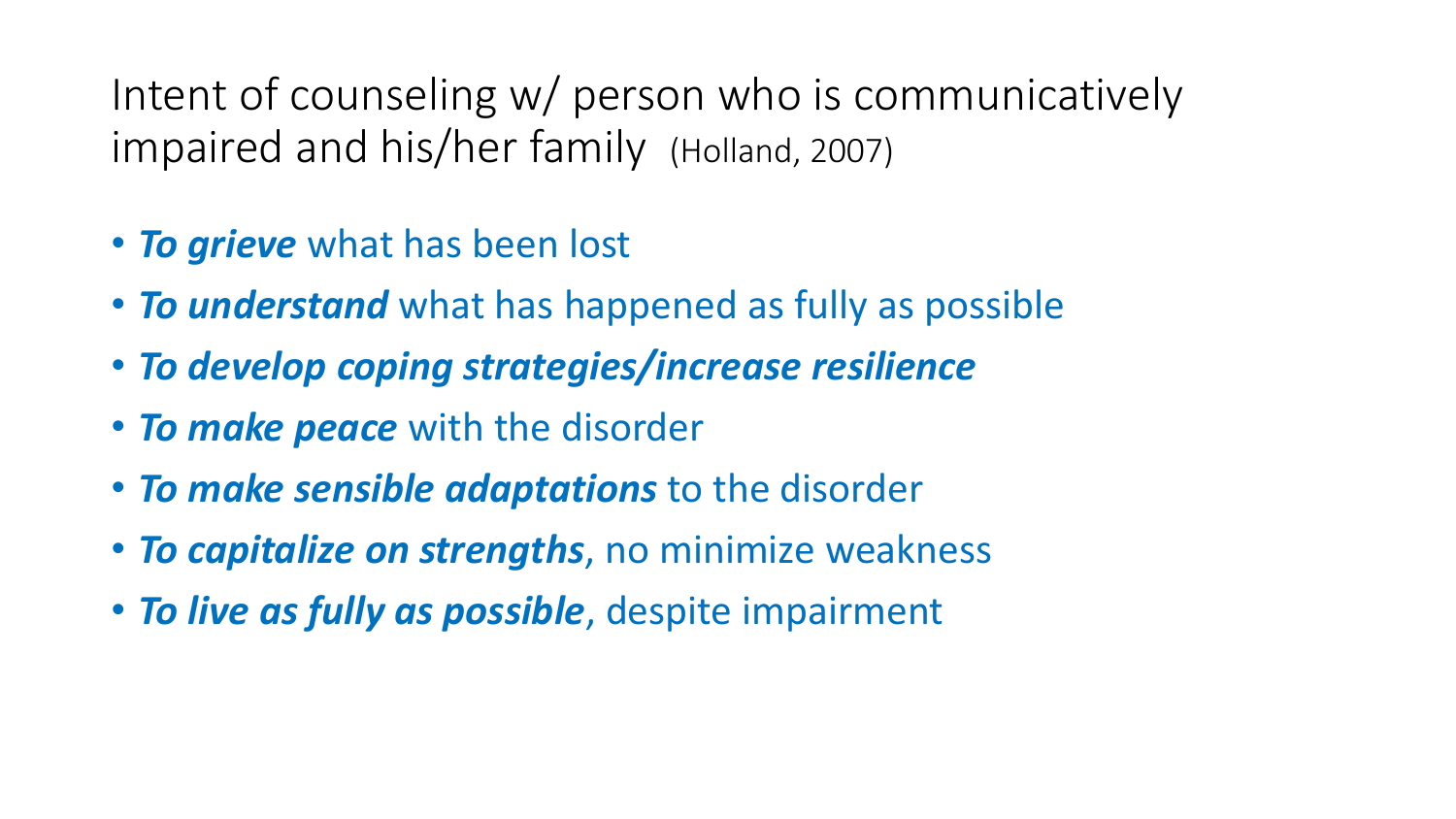Intent of counseling w/ person who is communicatively impaired and his/her family (Holland, 2007)

- *To grieve* what has been lost
- *To understand* what has happened as fully as possible
- *To develop coping strategies/increase resilience*
- *To make peace* with the disorder
- *To make sensible adaptations* to the disorder
- *To capitalize on strengths*, no minimize weakness
- *To live as fully as possible*, despite impairment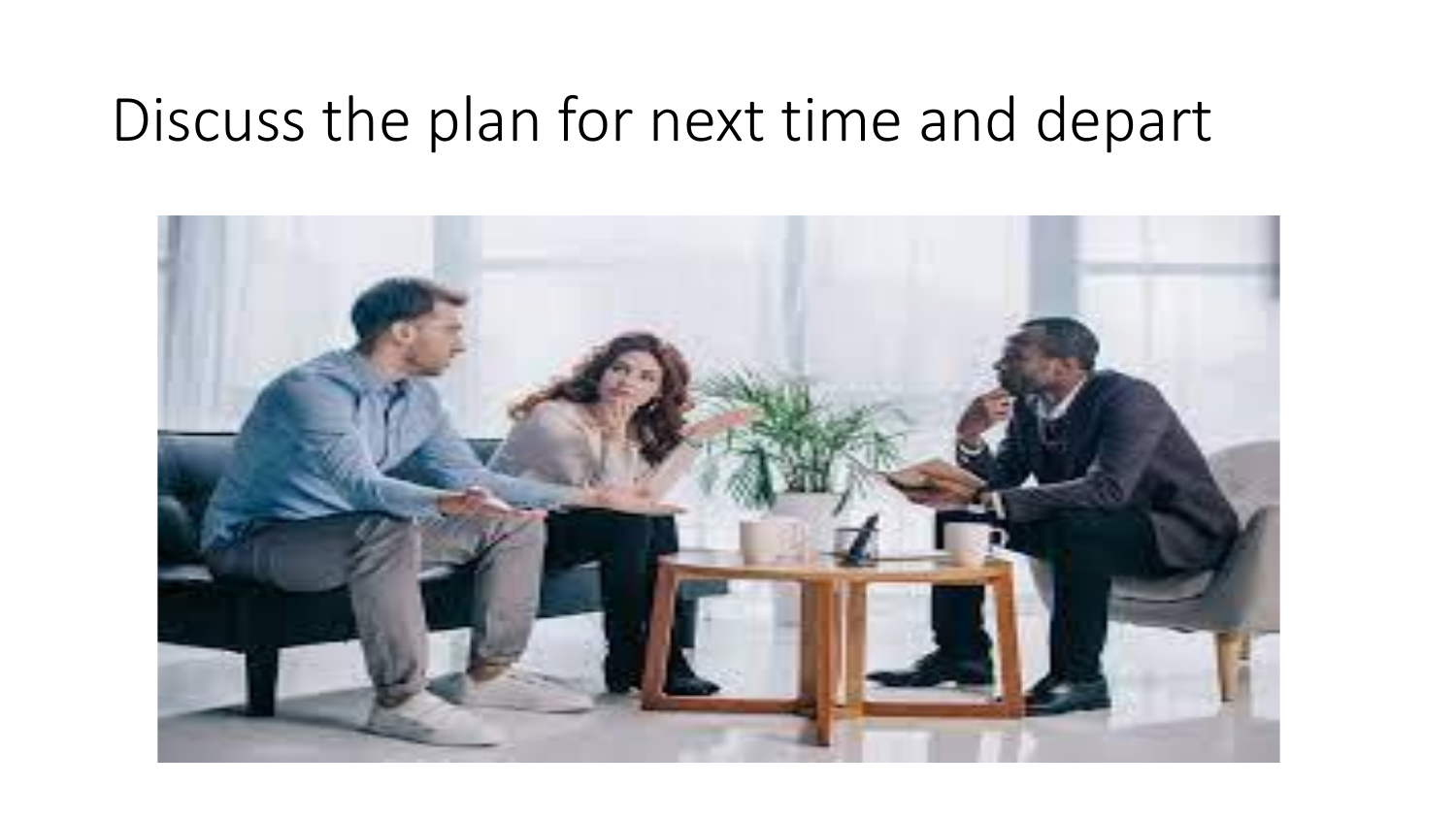#### Discuss the plan for next time and depart

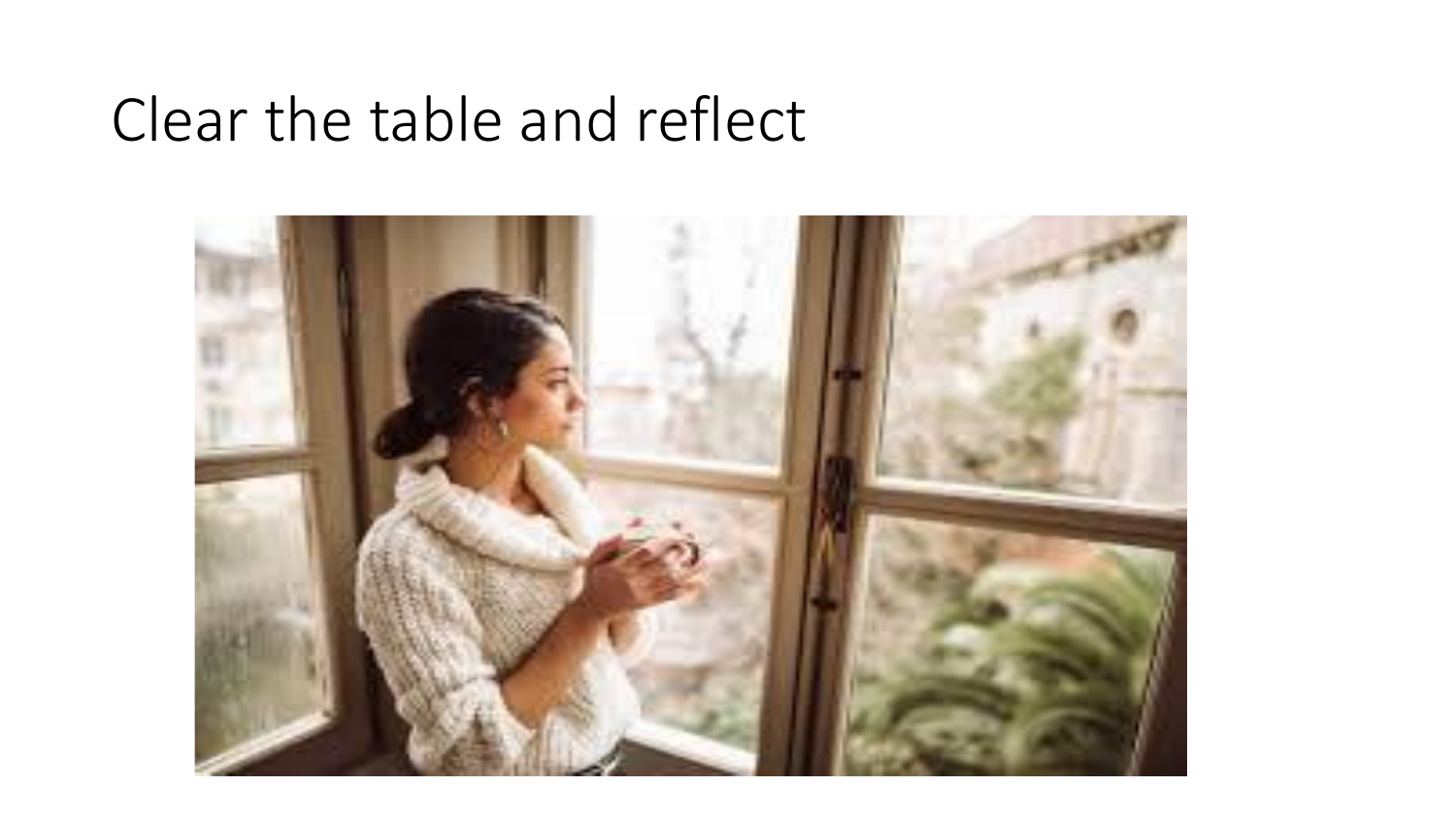#### Clear the table and reflect

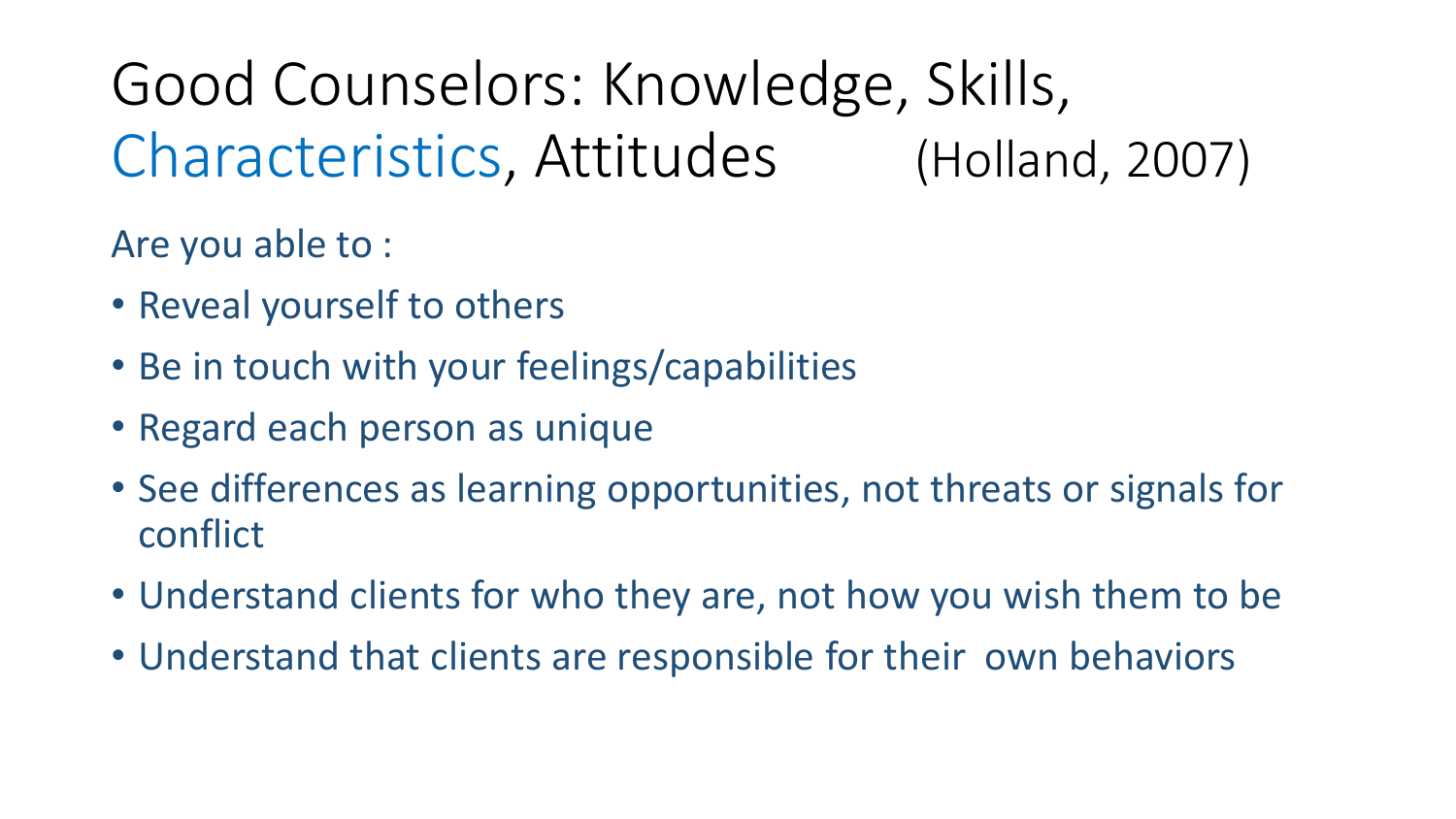Good Counselors: Knowledge, Skills, Characteristics, Attitudes (Holland, 2007)

Are you able to :

- Reveal yourself to others
- Be in touch with your feelings/capabilities
- Regard each person as unique
- See differences as learning opportunities, not threats or signals for conflict
- Understand clients for who they are, not how you wish them to be
- Understand that clients are responsible for their own behaviors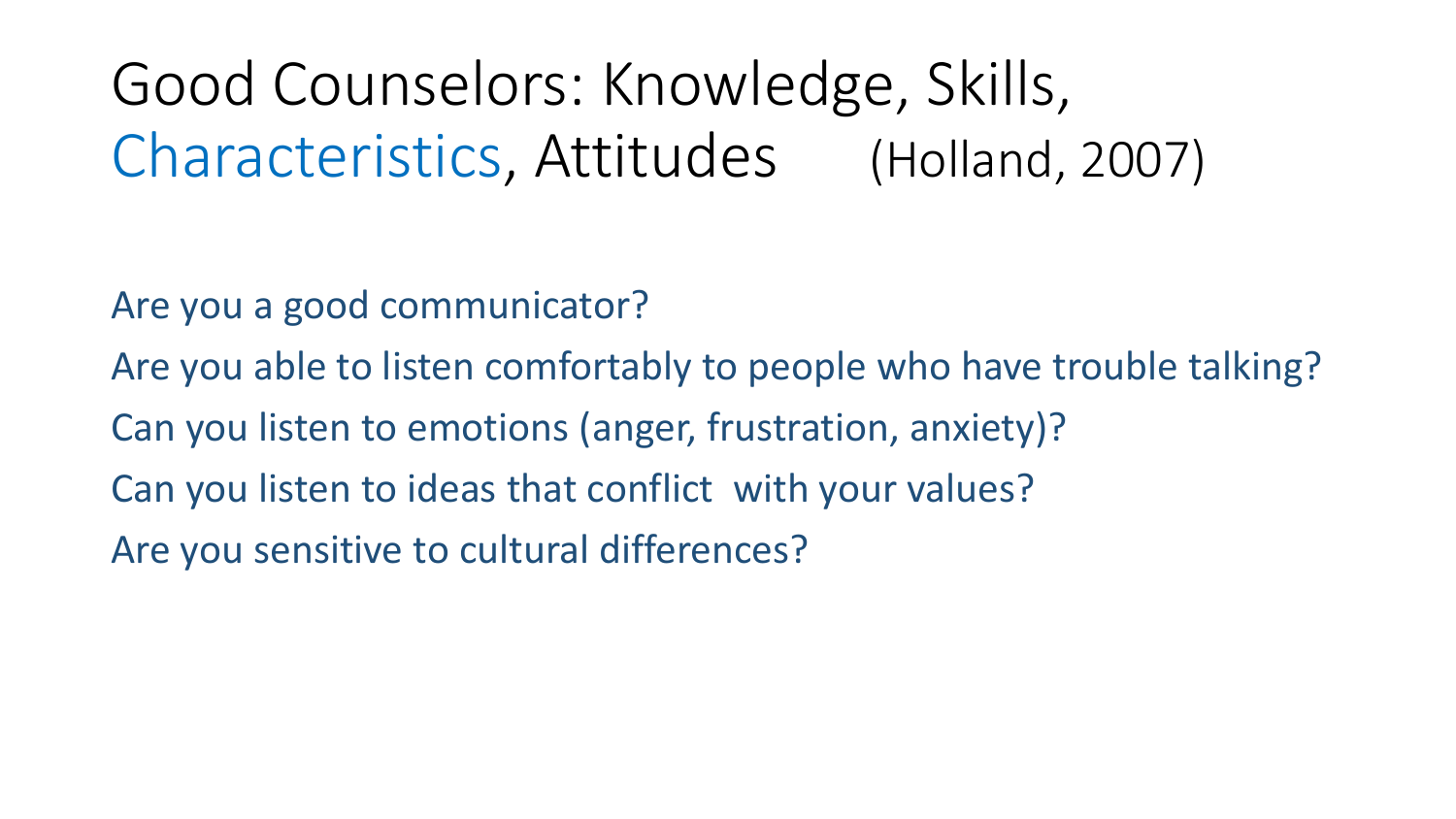Good Counselors: Knowledge, Skills, Characteristics, Attitudes (Holland, 2007)

Are you a good communicator?

Are you able to listen comfortably to people who have trouble talking?

Can you listen to emotions (anger, frustration, anxiety)?

Can you listen to ideas that conflict with your values?

Are you sensitive to cultural differences?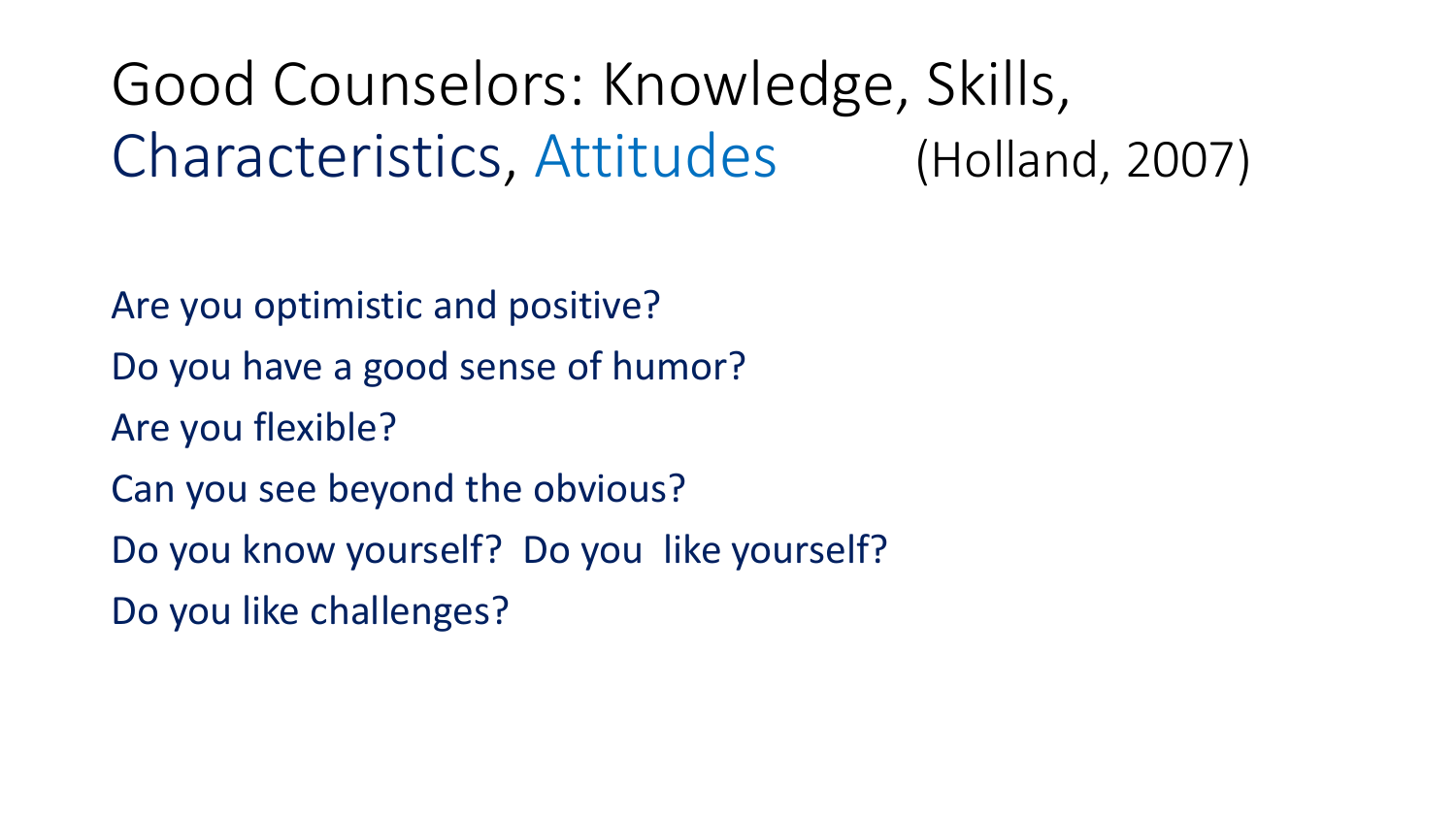Good Counselors: Knowledge, Skills, Characteristics, Attitudes (Holland, 2007)

Are you optimistic and positive?

Do you have a good sense of humor?

Are you flexible?

Can you see beyond the obvious?

Do you know yourself? Do you like yourself?

Do you like challenges?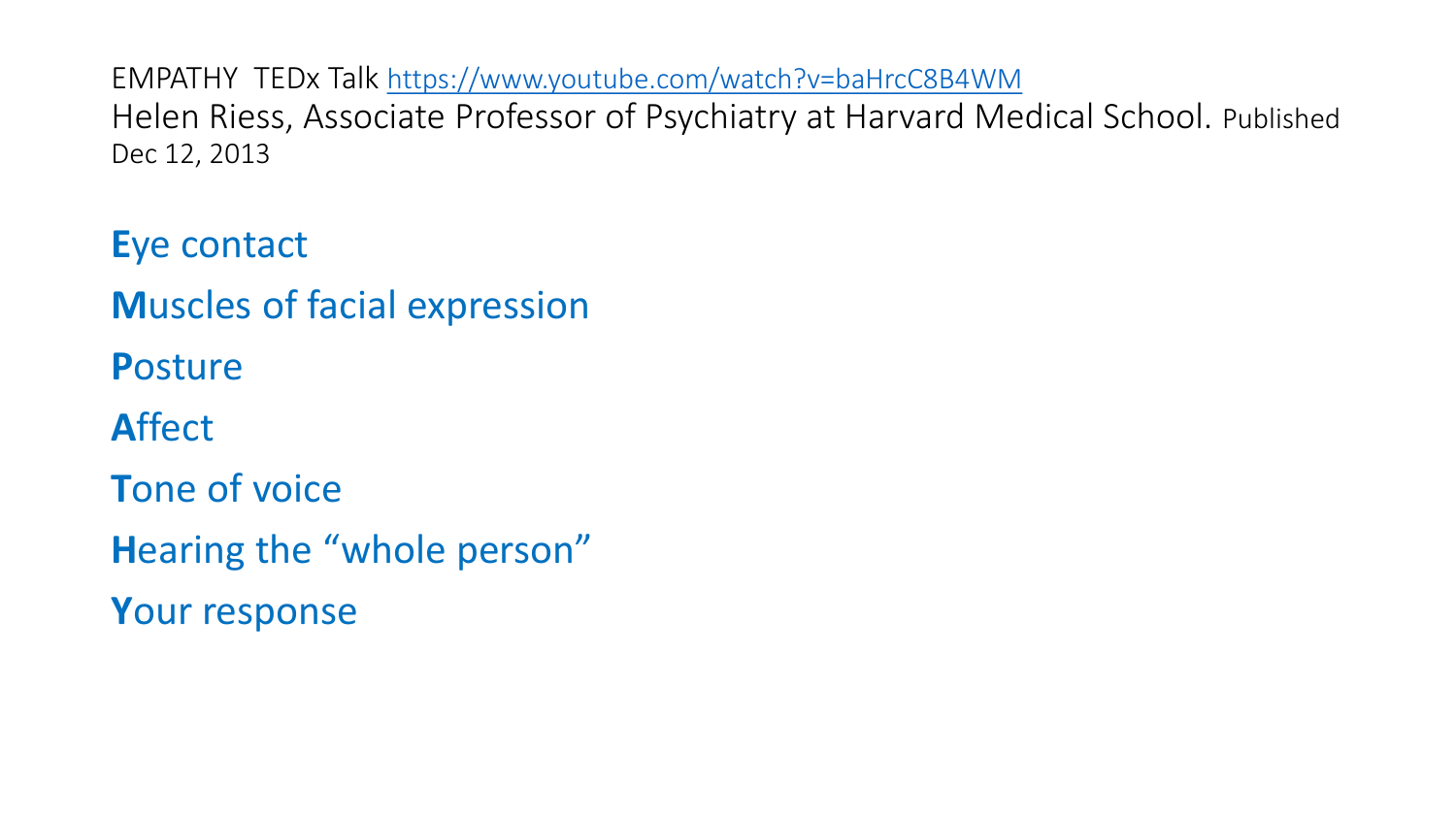EMPATHY TEDx Talk <https://www.youtube.com/watch?v=baHrcC8B4WM> Helen Riess, Associate Professor of Psychiatry at Harvard Medical School. Published Dec 12, 2013

**E**ye contact **M**uscles of facial expression **P**osture **A**ffect **T**one of voice **H**earing the "whole person" **Y**our response